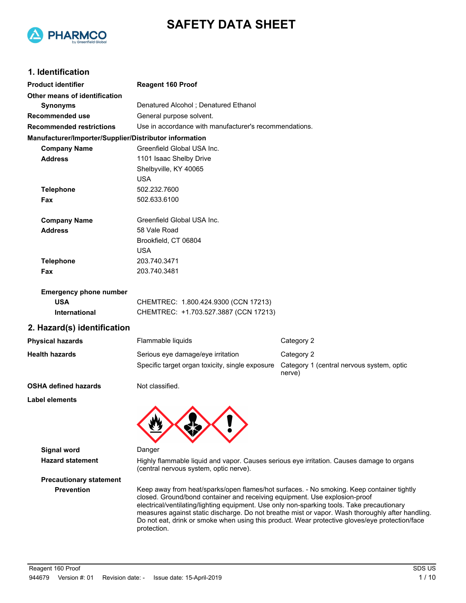



# **1. Identification**

| <b>Product identifier</b>                              | <b>Reagent 160 Proof</b>                                                                                                                                                                                                                                                             |                                                                                                                                                                                                    |  |
|--------------------------------------------------------|--------------------------------------------------------------------------------------------------------------------------------------------------------------------------------------------------------------------------------------------------------------------------------------|----------------------------------------------------------------------------------------------------------------------------------------------------------------------------------------------------|--|
| Other means of identification                          |                                                                                                                                                                                                                                                                                      |                                                                                                                                                                                                    |  |
| <b>Synonyms</b>                                        | Denatured Alcohol ; Denatured Ethanol                                                                                                                                                                                                                                                |                                                                                                                                                                                                    |  |
| Recommended use                                        | General purpose solvent.                                                                                                                                                                                                                                                             |                                                                                                                                                                                                    |  |
| <b>Recommended restrictions</b>                        | Use in accordance with manufacturer's recommendations.                                                                                                                                                                                                                               |                                                                                                                                                                                                    |  |
| Manufacturer/Importer/Supplier/Distributor information |                                                                                                                                                                                                                                                                                      |                                                                                                                                                                                                    |  |
| <b>Company Name</b>                                    | Greenfield Global USA Inc.                                                                                                                                                                                                                                                           |                                                                                                                                                                                                    |  |
| <b>Address</b>                                         | 1101 Isaac Shelby Drive                                                                                                                                                                                                                                                              |                                                                                                                                                                                                    |  |
|                                                        | Shelbyville, KY 40065                                                                                                                                                                                                                                                                |                                                                                                                                                                                                    |  |
|                                                        | <b>USA</b>                                                                                                                                                                                                                                                                           |                                                                                                                                                                                                    |  |
| <b>Telephone</b>                                       | 502.232.7600                                                                                                                                                                                                                                                                         |                                                                                                                                                                                                    |  |
| Fax                                                    | 502.633.6100                                                                                                                                                                                                                                                                         |                                                                                                                                                                                                    |  |
| <b>Company Name</b>                                    | Greenfield Global USA Inc.                                                                                                                                                                                                                                                           |                                                                                                                                                                                                    |  |
| <b>Address</b>                                         | 58 Vale Road                                                                                                                                                                                                                                                                         |                                                                                                                                                                                                    |  |
|                                                        | Brookfield, CT 06804                                                                                                                                                                                                                                                                 |                                                                                                                                                                                                    |  |
|                                                        | <b>USA</b>                                                                                                                                                                                                                                                                           |                                                                                                                                                                                                    |  |
| <b>Telephone</b>                                       | 203.740.3471                                                                                                                                                                                                                                                                         |                                                                                                                                                                                                    |  |
| Fax                                                    | 203.740.3481                                                                                                                                                                                                                                                                         |                                                                                                                                                                                                    |  |
| <b>Emergency phone number</b>                          |                                                                                                                                                                                                                                                                                      |                                                                                                                                                                                                    |  |
| <b>USA</b>                                             | CHEMTREC: 1.800.424.9300 (CCN 17213)                                                                                                                                                                                                                                                 |                                                                                                                                                                                                    |  |
| International                                          | CHEMTREC: +1.703.527.3887 (CCN 17213)                                                                                                                                                                                                                                                |                                                                                                                                                                                                    |  |
| 2. Hazard(s) identification                            |                                                                                                                                                                                                                                                                                      |                                                                                                                                                                                                    |  |
| <b>Physical hazards</b>                                | Flammable liquids                                                                                                                                                                                                                                                                    | Category 2                                                                                                                                                                                         |  |
| <b>Health hazards</b>                                  | Serious eye damage/eye irritation                                                                                                                                                                                                                                                    | Category 2                                                                                                                                                                                         |  |
|                                                        | Specific target organ toxicity, single exposure                                                                                                                                                                                                                                      | Category 1 (central nervous system, optic<br>nerve)                                                                                                                                                |  |
| <b>OSHA defined hazards</b>                            | Not classified.                                                                                                                                                                                                                                                                      |                                                                                                                                                                                                    |  |
| Label elements                                         |                                                                                                                                                                                                                                                                                      |                                                                                                                                                                                                    |  |
|                                                        | $\mathbf{w}$                                                                                                                                                                                                                                                                         |                                                                                                                                                                                                    |  |
|                                                        |                                                                                                                                                                                                                                                                                      |                                                                                                                                                                                                    |  |
| <b>Signal word</b>                                     | Danger                                                                                                                                                                                                                                                                               |                                                                                                                                                                                                    |  |
| <b>Hazard statement</b>                                | Highly flammable liquid and vapor. Causes serious eye irritation. Causes damage to organs<br>(central nervous system, optic nerve).                                                                                                                                                  |                                                                                                                                                                                                    |  |
| <b>Precautionary statement</b>                         |                                                                                                                                                                                                                                                                                      |                                                                                                                                                                                                    |  |
| <b>Prevention</b>                                      | Keep away from heat/sparks/open flames/hot surfaces. - No smoking. Keep container tightly<br>closed. Ground/bond container and receiving equipment. Use explosion-proof<br>electrical/ventilating/lighting equipment. Use only non-sparking tools. Take precautionary<br>protection. | measures against static discharge. Do not breathe mist or vapor. Wash thoroughly after handling.<br>Do not eat, drink or smoke when using this product. Wear protective gloves/eye protection/face |  |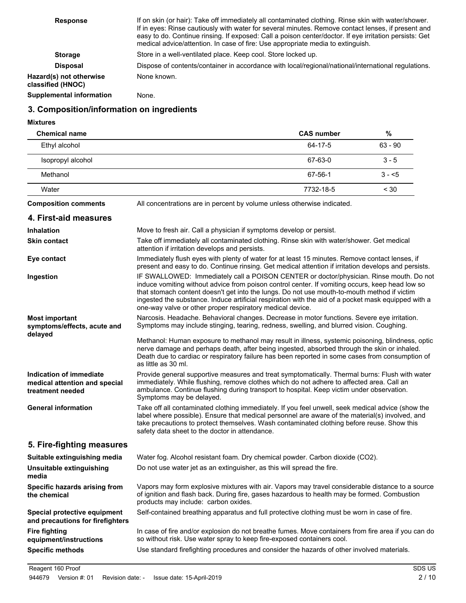| <b>Response</b>                              | If on skin (or hair): Take off immediately all contaminated clothing. Rinse skin with water/shower.<br>If in eyes: Rinse cautiously with water for several minutes. Remove contact lenses, if present and<br>easy to do. Continue rinsing. If exposed: Call a poison center/doctor. If eye irritation persists: Get<br>medical advice/attention. In case of fire: Use appropriate media to extinguish. |
|----------------------------------------------|--------------------------------------------------------------------------------------------------------------------------------------------------------------------------------------------------------------------------------------------------------------------------------------------------------------------------------------------------------------------------------------------------------|
| <b>Storage</b>                               | Store in a well-ventilated place. Keep cool. Store locked up.                                                                                                                                                                                                                                                                                                                                          |
| <b>Disposal</b>                              | Dispose of contents/container in accordance with local/regional/national/international regulations.                                                                                                                                                                                                                                                                                                    |
| Hazard(s) not otherwise<br>classified (HNOC) | None known.                                                                                                                                                                                                                                                                                                                                                                                            |
| Supplemental information                     | None.                                                                                                                                                                                                                                                                                                                                                                                                  |

# **3. Composition/information on ingredients**

**Mixtures**

| <b>Chemical name</b>                                                         |                                                                                                                                                                                                                                                                                                                                                                                                                                                               | <b>CAS number</b> | $\%$      |
|------------------------------------------------------------------------------|---------------------------------------------------------------------------------------------------------------------------------------------------------------------------------------------------------------------------------------------------------------------------------------------------------------------------------------------------------------------------------------------------------------------------------------------------------------|-------------------|-----------|
| Ethyl alcohol                                                                |                                                                                                                                                                                                                                                                                                                                                                                                                                                               | 64-17-5           | $63 - 90$ |
| Isopropyl alcohol                                                            |                                                                                                                                                                                                                                                                                                                                                                                                                                                               | 67-63-0           | $3 - 5$   |
| Methanol                                                                     |                                                                                                                                                                                                                                                                                                                                                                                                                                                               | 67-56-1           | $3 - 5$   |
| Water                                                                        |                                                                                                                                                                                                                                                                                                                                                                                                                                                               | 7732-18-5         | < 30      |
| <b>Composition comments</b>                                                  | All concentrations are in percent by volume unless otherwise indicated.                                                                                                                                                                                                                                                                                                                                                                                       |                   |           |
| 4. First-aid measures                                                        |                                                                                                                                                                                                                                                                                                                                                                                                                                                               |                   |           |
| Inhalation                                                                   | Move to fresh air. Call a physician if symptoms develop or persist.                                                                                                                                                                                                                                                                                                                                                                                           |                   |           |
| <b>Skin contact</b>                                                          | Take off immediately all contaminated clothing. Rinse skin with water/shower. Get medical<br>attention if irritation develops and persists.                                                                                                                                                                                                                                                                                                                   |                   |           |
| Eye contact                                                                  | Immediately flush eyes with plenty of water for at least 15 minutes. Remove contact lenses, if<br>present and easy to do. Continue rinsing. Get medical attention if irritation develops and persists.                                                                                                                                                                                                                                                        |                   |           |
| Ingestion                                                                    | IF SWALLOWED: Immediately call a POISON CENTER or doctor/physician. Rinse mouth. Do not<br>induce vomiting without advice from poison control center. If vomiting occurs, keep head low so<br>that stomach content doesn't get into the lungs. Do not use mouth-to-mouth method if victim<br>ingested the substance. Induce artificial respiration with the aid of a pocket mask equipped with a<br>one-way valve or other proper respiratory medical device. |                   |           |
| <b>Most important</b><br>symptoms/effects, acute and<br>delayed              | Narcosis. Headache. Behavioral changes. Decrease in motor functions. Severe eye irritation.<br>Symptoms may include stinging, tearing, redness, swelling, and blurred vision. Coughing.                                                                                                                                                                                                                                                                       |                   |           |
|                                                                              | Methanol: Human exposure to methanol may result in illness, systemic poisoning, blindness, optic<br>nerve damage and perhaps death, after being ingested, absorbed through the skin or inhaled.<br>Death due to cardiac or respiratory failure has been reported in some cases from consumption of<br>as little as 30 ml.                                                                                                                                     |                   |           |
| Indication of immediate<br>medical attention and special<br>treatment needed | Provide general supportive measures and treat symptomatically. Thermal burns: Flush with water<br>immediately. While flushing, remove clothes which do not adhere to affected area. Call an<br>ambulance. Continue flushing during transport to hospital. Keep victim under observation.<br>Symptoms may be delayed.                                                                                                                                          |                   |           |
| <b>General information</b>                                                   | Take off all contaminated clothing immediately. If you feel unwell, seek medical advice (show the<br>label where possible). Ensure that medical personnel are aware of the material(s) involved, and<br>take precautions to protect themselves. Wash contaminated clothing before reuse. Show this<br>safety data sheet to the doctor in attendance.                                                                                                          |                   |           |
| 5. Fire-fighting measures                                                    |                                                                                                                                                                                                                                                                                                                                                                                                                                                               |                   |           |
| Suitable extinguishing media                                                 | Water fog. Alcohol resistant foam. Dry chemical powder. Carbon dioxide (CO2).                                                                                                                                                                                                                                                                                                                                                                                 |                   |           |
| Unsuitable extinguishing<br>media                                            | Do not use water jet as an extinguisher, as this will spread the fire.                                                                                                                                                                                                                                                                                                                                                                                        |                   |           |
| Specific hazards arising from<br>the chemical                                | Vapors may form explosive mixtures with air. Vapors may travel considerable distance to a source<br>of ignition and flash back. During fire, gases hazardous to health may be formed. Combustion<br>products may include: carbon oxides.                                                                                                                                                                                                                      |                   |           |
| Special protective equipment<br>and precautions for firefighters             | Self-contained breathing apparatus and full protective clothing must be worn in case of fire.                                                                                                                                                                                                                                                                                                                                                                 |                   |           |
| <b>Fire fighting</b><br>equipment/instructions                               | In case of fire and/or explosion do not breathe fumes. Move containers from fire area if you can do<br>so without risk. Use water spray to keep fire-exposed containers cool.                                                                                                                                                                                                                                                                                 |                   |           |
| <b>Specific methods</b>                                                      | Use standard firefighting procedures and consider the hazards of other involved materials.                                                                                                                                                                                                                                                                                                                                                                    |                   |           |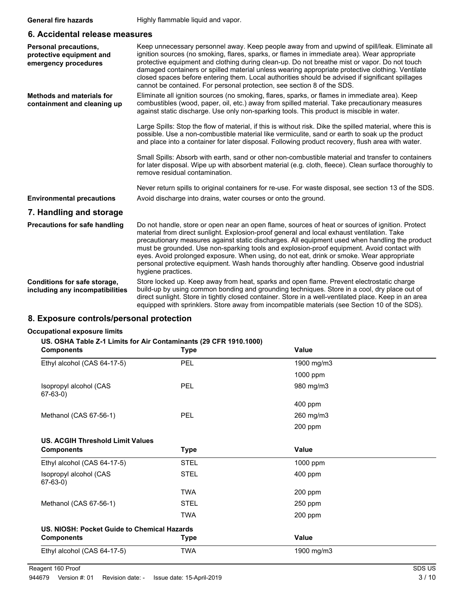## **6. Accidental release measures**

| Personal precautions,<br>protective equipment and<br>emergency procedures | Keep unnecessary personnel away. Keep people away from and upwind of spill/leak. Eliminate all<br>ignition sources (no smoking, flares, sparks, or flames in immediate area). Wear appropriate<br>protective equipment and clothing during clean-up. Do not breathe mist or vapor. Do not touch<br>damaged containers or spilled material unless wearing appropriate protective clothing. Ventilate<br>closed spaces before entering them. Local authorities should be advised if significant spillages<br>cannot be contained. For personal protection, see section 8 of the SDS.                               |
|---------------------------------------------------------------------------|------------------------------------------------------------------------------------------------------------------------------------------------------------------------------------------------------------------------------------------------------------------------------------------------------------------------------------------------------------------------------------------------------------------------------------------------------------------------------------------------------------------------------------------------------------------------------------------------------------------|
| <b>Methods and materials for</b><br>containment and cleaning up           | Eliminate all ignition sources (no smoking, flares, sparks, or flames in immediate area). Keep<br>combustibles (wood, paper, oil, etc.) away from spilled material. Take precautionary measures<br>against static discharge. Use only non-sparking tools. This product is miscible in water.                                                                                                                                                                                                                                                                                                                     |
|                                                                           | Large Spills: Stop the flow of material, if this is without risk. Dike the spilled material, where this is<br>possible. Use a non-combustible material like vermiculite, sand or earth to soak up the product<br>and place into a container for later disposal. Following product recovery, flush area with water.                                                                                                                                                                                                                                                                                               |
|                                                                           | Small Spills: Absorb with earth, sand or other non-combustible material and transfer to containers<br>for later disposal. Wipe up with absorbent material (e.g. cloth, fleece). Clean surface thoroughly to<br>remove residual contamination.                                                                                                                                                                                                                                                                                                                                                                    |
|                                                                           | Never return spills to original containers for re-use. For waste disposal, see section 13 of the SDS.                                                                                                                                                                                                                                                                                                                                                                                                                                                                                                            |
| <b>Environmental precautions</b>                                          | Avoid discharge into drains, water courses or onto the ground.                                                                                                                                                                                                                                                                                                                                                                                                                                                                                                                                                   |
| 7. Handling and storage                                                   |                                                                                                                                                                                                                                                                                                                                                                                                                                                                                                                                                                                                                  |
| <b>Precautions for safe handling</b>                                      | Do not handle, store or open near an open flame, sources of heat or sources of ignition. Protect<br>material from direct sunlight. Explosion-proof general and local exhaust ventilation. Take<br>precautionary measures against static discharges. All equipment used when handling the product<br>must be grounded. Use non-sparking tools and explosion-proof equipment. Avoid contact with<br>eyes. Avoid prolonged exposure. When using, do not eat, drink or smoke. Wear appropriate<br>personal protective equipment. Wash hands thoroughly after handling. Observe good industrial<br>hygiene practices. |
| Conditions for safe storage,<br>including any incompatibilities           | Store locked up. Keep away from heat, sparks and open flame. Prevent electrostatic charge<br>build-up by using common bonding and grounding techniques. Store in a cool, dry place out of<br>direct sunlight. Store in tightly closed container. Store in a well-ventilated place. Keep in an area<br>equipped with sprinklers. Store away from incompatible materials (see Section 10 of the SDS).                                                                                                                                                                                                              |

# **8. Exposure controls/personal protection**

# **Occupational exposure limits**

## **US. OSHA Table Z-1 Limits for Air Contaminants (29 CFR 1910.1000)**

| <b>Components</b>                           | <b>Type</b> | <b>Value</b> |  |
|---------------------------------------------|-------------|--------------|--|
| Ethyl alcohol (CAS 64-17-5)                 | PEL         | 1900 mg/m3   |  |
|                                             |             | 1000 ppm     |  |
| Isopropyl alcohol (CAS<br>67-63-0)          | PEL         | 980 mg/m3    |  |
|                                             |             | 400 ppm      |  |
| Methanol (CAS 67-56-1)                      | PEL         | 260 mg/m3    |  |
|                                             |             | 200 ppm      |  |
| <b>US. ACGIH Threshold Limit Values</b>     |             |              |  |
| <b>Components</b>                           | <b>Type</b> | Value        |  |
| Ethyl alcohol (CAS 64-17-5)                 | <b>STEL</b> | 1000 ppm     |  |
| Isopropyl alcohol (CAS<br>67-63-0)          | <b>STEL</b> | 400 ppm      |  |
|                                             | <b>TWA</b>  | 200 ppm      |  |
| Methanol (CAS 67-56-1)                      | <b>STEL</b> | 250 ppm      |  |
|                                             | <b>TWA</b>  | 200 ppm      |  |
| US. NIOSH: Pocket Guide to Chemical Hazards |             |              |  |
| <b>Components</b>                           | Type        | Value        |  |
| Ethyl alcohol (CAS 64-17-5)                 | <b>TWA</b>  | 1900 mg/m3   |  |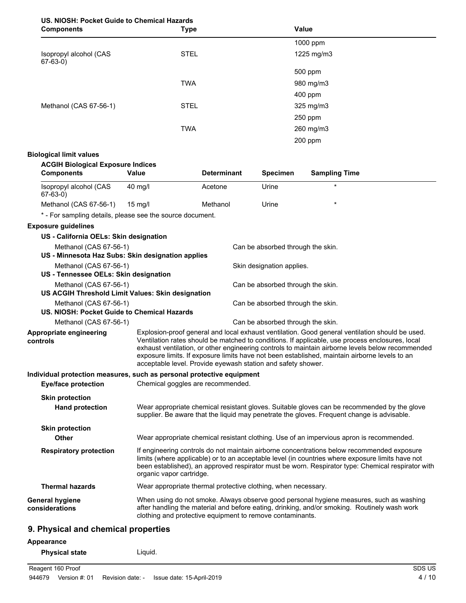| US. NIOSH: Pocket Guide to Chemical Hazards                                 |                                                               |                                                                                                                                                                                                                                                                                                                                 |                                   |                                                                                                                                                                                                                                                                                                                                                                                                         |
|-----------------------------------------------------------------------------|---------------------------------------------------------------|---------------------------------------------------------------------------------------------------------------------------------------------------------------------------------------------------------------------------------------------------------------------------------------------------------------------------------|-----------------------------------|---------------------------------------------------------------------------------------------------------------------------------------------------------------------------------------------------------------------------------------------------------------------------------------------------------------------------------------------------------------------------------------------------------|
| <b>Components</b>                                                           | <b>Type</b>                                                   |                                                                                                                                                                                                                                                                                                                                 |                                   | <b>Value</b>                                                                                                                                                                                                                                                                                                                                                                                            |
|                                                                             |                                                               |                                                                                                                                                                                                                                                                                                                                 |                                   | 1000 ppm                                                                                                                                                                                                                                                                                                                                                                                                |
| Isopropyl alcohol (CAS<br>$67-63-0)$                                        | <b>STEL</b>                                                   |                                                                                                                                                                                                                                                                                                                                 |                                   | 1225 mg/m3                                                                                                                                                                                                                                                                                                                                                                                              |
|                                                                             |                                                               |                                                                                                                                                                                                                                                                                                                                 |                                   | 500 ppm                                                                                                                                                                                                                                                                                                                                                                                                 |
|                                                                             | <b>TWA</b>                                                    |                                                                                                                                                                                                                                                                                                                                 |                                   | 980 mg/m3                                                                                                                                                                                                                                                                                                                                                                                               |
|                                                                             |                                                               |                                                                                                                                                                                                                                                                                                                                 |                                   | 400 ppm                                                                                                                                                                                                                                                                                                                                                                                                 |
| Methanol (CAS 67-56-1)                                                      | <b>STEL</b>                                                   |                                                                                                                                                                                                                                                                                                                                 |                                   | 325 mg/m3                                                                                                                                                                                                                                                                                                                                                                                               |
|                                                                             |                                                               |                                                                                                                                                                                                                                                                                                                                 |                                   | 250 ppm                                                                                                                                                                                                                                                                                                                                                                                                 |
|                                                                             | <b>TWA</b>                                                    |                                                                                                                                                                                                                                                                                                                                 |                                   | 260 mg/m3                                                                                                                                                                                                                                                                                                                                                                                               |
|                                                                             |                                                               |                                                                                                                                                                                                                                                                                                                                 |                                   | 200 ppm                                                                                                                                                                                                                                                                                                                                                                                                 |
| <b>Biological limit values</b>                                              |                                                               |                                                                                                                                                                                                                                                                                                                                 |                                   |                                                                                                                                                                                                                                                                                                                                                                                                         |
| <b>ACGIH Biological Exposure Indices</b>                                    |                                                               |                                                                                                                                                                                                                                                                                                                                 |                                   |                                                                                                                                                                                                                                                                                                                                                                                                         |
| <b>Components</b>                                                           | <b>Value</b>                                                  | <b>Determinant</b>                                                                                                                                                                                                                                                                                                              | <b>Specimen</b>                   | <b>Sampling Time</b>                                                                                                                                                                                                                                                                                                                                                                                    |
| Isopropyl alcohol (CAS<br>$67-63-0)$                                        | 40 mg/l                                                       | Acetone                                                                                                                                                                                                                                                                                                                         | Urine                             | $\star$                                                                                                                                                                                                                                                                                                                                                                                                 |
| Methanol (CAS 67-56-1)                                                      | $15$ mg/l                                                     | Methanol                                                                                                                                                                                                                                                                                                                        | Urine                             |                                                                                                                                                                                                                                                                                                                                                                                                         |
| * - For sampling details, please see the source document.                   |                                                               |                                                                                                                                                                                                                                                                                                                                 |                                   |                                                                                                                                                                                                                                                                                                                                                                                                         |
| <b>Exposure guidelines</b>                                                  |                                                               |                                                                                                                                                                                                                                                                                                                                 |                                   |                                                                                                                                                                                                                                                                                                                                                                                                         |
| US - California OELs: Skin designation                                      |                                                               |                                                                                                                                                                                                                                                                                                                                 |                                   |                                                                                                                                                                                                                                                                                                                                                                                                         |
| Methanol (CAS 67-56-1)<br>US - Minnesota Haz Subs: Skin designation applies |                                                               |                                                                                                                                                                                                                                                                                                                                 | Can be absorbed through the skin. |                                                                                                                                                                                                                                                                                                                                                                                                         |
| Methanol (CAS 67-56-1)                                                      |                                                               |                                                                                                                                                                                                                                                                                                                                 | Skin designation applies.         |                                                                                                                                                                                                                                                                                                                                                                                                         |
| US - Tennessee OELs: Skin designation                                       |                                                               |                                                                                                                                                                                                                                                                                                                                 |                                   |                                                                                                                                                                                                                                                                                                                                                                                                         |
| Methanol (CAS 67-56-1)<br>US ACGIH Threshold Limit Values: Skin designation |                                                               |                                                                                                                                                                                                                                                                                                                                 | Can be absorbed through the skin. |                                                                                                                                                                                                                                                                                                                                                                                                         |
| Methanol (CAS 67-56-1)<br>US. NIOSH: Pocket Guide to Chemical Hazards       |                                                               |                                                                                                                                                                                                                                                                                                                                 | Can be absorbed through the skin. |                                                                                                                                                                                                                                                                                                                                                                                                         |
| Methanol (CAS 67-56-1)                                                      |                                                               |                                                                                                                                                                                                                                                                                                                                 | Can be absorbed through the skin. |                                                                                                                                                                                                                                                                                                                                                                                                         |
| Appropriate engineering<br>controls                                         | acceptable level. Provide eyewash station and safety shower.  |                                                                                                                                                                                                                                                                                                                                 |                                   | Explosion-proof general and local exhaust ventilation. Good general ventilation should be used.<br>Ventilation rates should be matched to conditions. If applicable, use process enclosures, local<br>exhaust ventilation, or other engineering controls to maintain airborne levels below recommended<br>exposure limits. If exposure limits have not been established, maintain airborne levels to an |
| Individual protection measures, such as personal protective equipment       |                                                               |                                                                                                                                                                                                                                                                                                                                 |                                   |                                                                                                                                                                                                                                                                                                                                                                                                         |
| <b>Eye/face protection</b>                                                  | Chemical goggles are recommended.                             |                                                                                                                                                                                                                                                                                                                                 |                                   |                                                                                                                                                                                                                                                                                                                                                                                                         |
| <b>Skin protection</b><br><b>Hand protection</b>                            |                                                               |                                                                                                                                                                                                                                                                                                                                 |                                   | Wear appropriate chemical resistant gloves. Suitable gloves can be recommended by the glove<br>supplier. Be aware that the liquid may penetrate the gloves. Frequent change is advisable.                                                                                                                                                                                                               |
| <b>Skin protection</b><br>Other                                             |                                                               |                                                                                                                                                                                                                                                                                                                                 |                                   | Wear appropriate chemical resistant clothing. Use of an impervious apron is recommended.                                                                                                                                                                                                                                                                                                                |
| <b>Respiratory protection</b>                                               |                                                               | If engineering controls do not maintain airborne concentrations below recommended exposure<br>limits (where applicable) or to an acceptable level (in countries where exposure limits have not<br>been established), an approved respirator must be worn. Respirator type: Chemical respirator with<br>organic vapor cartridge. |                                   |                                                                                                                                                                                                                                                                                                                                                                                                         |
| <b>Thermal hazards</b>                                                      | Wear appropriate thermal protective clothing, when necessary. |                                                                                                                                                                                                                                                                                                                                 |                                   |                                                                                                                                                                                                                                                                                                                                                                                                         |
| <b>General hygiene</b><br>considerations                                    |                                                               |                                                                                                                                                                                                                                                                                                                                 |                                   | When using do not smoke. Always observe good personal hygiene measures, such as washing<br>after handling the material and before eating, drinking, and/or smoking. Routinely wash work                                                                                                                                                                                                                 |

clothing and protective equipment to remove contaminants.

# **9. Physical and chemical properties**

# **Appearance**

**Physical state** Liquid.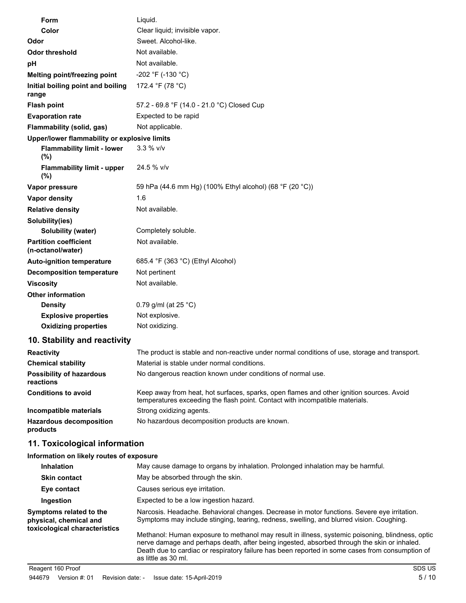| Form                                              | Liquid.                                                                                                                                                                  |
|---------------------------------------------------|--------------------------------------------------------------------------------------------------------------------------------------------------------------------------|
| Color                                             | Clear liquid; invisible vapor.                                                                                                                                           |
| Odor                                              | Sweet, Alcohol-like.                                                                                                                                                     |
| <b>Odor threshold</b>                             | Not available.                                                                                                                                                           |
| рH                                                | Not available.                                                                                                                                                           |
| Melting point/freezing point                      | -202 °F (-130 °C)                                                                                                                                                        |
| Initial boiling point and boiling<br>range        | 172.4 °F (78 °C)                                                                                                                                                         |
| <b>Flash point</b>                                | 57.2 - 69.8 °F (14.0 - 21.0 °C) Closed Cup                                                                                                                               |
| <b>Evaporation rate</b>                           | Expected to be rapid                                                                                                                                                     |
| Flammability (solid, gas)                         | Not applicable.                                                                                                                                                          |
| Upper/lower flammability or explosive limits      |                                                                                                                                                                          |
| <b>Flammability limit - lower</b><br>(%)          | $3.3 %$ V/V                                                                                                                                                              |
| <b>Flammability limit - upper</b><br>(%)          | 24.5 % v/v                                                                                                                                                               |
| Vapor pressure                                    | 59 hPa (44.6 mm Hg) (100% Ethyl alcohol) (68 °F (20 °C))                                                                                                                 |
| Vapor density                                     | 1.6                                                                                                                                                                      |
| <b>Relative density</b>                           | Not available.                                                                                                                                                           |
| Solubility(ies)<br>Solubility (water)             | Completely soluble.                                                                                                                                                      |
| <b>Partition coefficient</b><br>(n-octanol/water) | Not available.                                                                                                                                                           |
| <b>Auto-ignition temperature</b>                  | 685.4 °F (363 °C) (Ethyl Alcohol)                                                                                                                                        |
| <b>Decomposition temperature</b>                  | Not pertinent                                                                                                                                                            |
| <b>Viscosity</b>                                  | Not available.                                                                                                                                                           |
| <b>Other information</b>                          |                                                                                                                                                                          |
| <b>Density</b>                                    | 0.79 g/ml (at 25 °C)                                                                                                                                                     |
| <b>Explosive properties</b>                       | Not explosive.                                                                                                                                                           |
| <b>Oxidizing properties</b>                       | Not oxidizing.                                                                                                                                                           |
| 10. Stability and reactivity                      |                                                                                                                                                                          |
| <b>Reactivity</b>                                 | The product is stable and non-reactive under normal conditions of use, storage and transport.                                                                            |
| <b>Chemical stability</b>                         | Material is stable under normal conditions.                                                                                                                              |
| <b>Possibility of hazardous</b><br>reactions      | No dangerous reaction known under conditions of normal use.                                                                                                              |
| <b>Conditions to avoid</b>                        | Keep away from heat, hot surfaces, sparks, open flames and other ignition sources. Avoid<br>temperatures exceeding the flash point. Contact with incompatible materials. |
| Incompatible materials                            | Strong oxidizing agents.                                                                                                                                                 |
| <b>Hazardous decomposition</b><br>products        | No hazardous decomposition products are known.                                                                                                                           |
| 11. Toxicological information                     |                                                                                                                                                                          |
| Information on likely routes of exposure          |                                                                                                                                                                          |
| Inhalation                                        | May cause damage to organs by inhalation. Prolonged inhalation may be harmful.                                                                                           |
| <b>Skin contact</b>                               | May be absorbed through the skin.                                                                                                                                        |
| Eye contact                                       | Causes serious eye irritation.                                                                                                                                           |
| Ingestion                                         | Expected to be a low ingestion hazard.                                                                                                                                   |
|                                                   |                                                                                                                                                                          |

**Symptoms related to the physical, chemical and toxicological characteristics** Narcosis. Headache. Behavioral changes. Decrease in motor functions. Severe eye irritation. Symptoms may include stinging, tearing, redness, swelling, and blurred vision. Coughing.

Methanol: Human exposure to methanol may result in illness, systemic poisoning, blindness, optic nerve damage and perhaps death, after being ingested, absorbed through the skin or inhaled. Death due to cardiac or respiratory failure has been reported in some cases from consumption of as little as 30 ml.

Reagent 160 Proof SDS US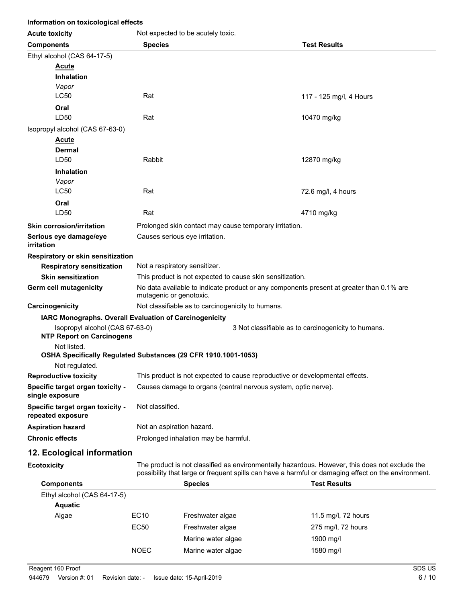| Information on toxicological effects                                |                                                                |                                                                                                |
|---------------------------------------------------------------------|----------------------------------------------------------------|------------------------------------------------------------------------------------------------|
| <b>Acute toxicity</b>                                               | Not expected to be acutely toxic.                              |                                                                                                |
| <b>Components</b>                                                   | <b>Species</b>                                                 | <b>Test Results</b>                                                                            |
| Ethyl alcohol (CAS 64-17-5)                                         |                                                                |                                                                                                |
| <b>Acute</b><br><b>Inhalation</b><br>Vapor                          |                                                                |                                                                                                |
| <b>LC50</b>                                                         | Rat                                                            | 117 - 125 mg/l, 4 Hours                                                                        |
| Oral                                                                |                                                                |                                                                                                |
| LD50                                                                | Rat                                                            | 10470 mg/kg                                                                                    |
| Isopropyl alcohol (CAS 67-63-0)                                     |                                                                |                                                                                                |
| <u>Acute</u><br>Dermal                                              |                                                                |                                                                                                |
| LD50                                                                | Rabbit                                                         | 12870 mg/kg                                                                                    |
| <b>Inhalation</b><br>Vapor<br><b>LC50</b>                           | Rat                                                            | 72.6 mg/l, 4 hours                                                                             |
| Oral                                                                |                                                                |                                                                                                |
| LD50                                                                | Rat                                                            | 4710 mg/kg                                                                                     |
| <b>Skin corrosion/irritation</b>                                    | Prolonged skin contact may cause temporary irritation.         |                                                                                                |
| Serious eye damage/eye<br><i>irritation</i>                         | Causes serious eye irritation.                                 |                                                                                                |
| Respiratory or skin sensitization                                   |                                                                |                                                                                                |
| <b>Respiratory sensitization</b>                                    | Not a respiratory sensitizer.                                  |                                                                                                |
| <b>Skin sensitization</b>                                           | This product is not expected to cause skin sensitization.      |                                                                                                |
| Germ cell mutagenicity                                              | mutagenic or genotoxic.                                        | No data available to indicate product or any components present at greater than 0.1% are       |
| Carcinogenicity                                                     | Not classifiable as to carcinogenicity to humans.              |                                                                                                |
|                                                                     | IARC Monographs. Overall Evaluation of Carcinogenicity         |                                                                                                |
| Isopropyl alcohol (CAS 67-63-0)<br><b>NTP Report on Carcinogens</b> |                                                                | 3 Not classifiable as to carcinogenicity to humans.                                            |
| Not listed.                                                         | OSHA Specifically Regulated Substances (29 CFR 1910.1001-1053) |                                                                                                |
| Not regulated.                                                      |                                                                |                                                                                                |
| <b>Reproductive toxicity</b>                                        |                                                                | This product is not expected to cause reproductive or developmental effects.                   |
| Specific target organ toxicity -<br>single exposure                 | Causes damage to organs (central nervous system, optic nerve). |                                                                                                |
| Specific target organ toxicity -<br>repeated exposure               | Not classified.                                                |                                                                                                |
| <b>Aspiration hazard</b>                                            | Not an aspiration hazard.                                      |                                                                                                |
| <b>Chronic effects</b>                                              | Prolonged inhalation may be harmful.                           |                                                                                                |
| 12. Ecological information                                          |                                                                |                                                                                                |
| <b>Ecotoxicity</b>                                                  |                                                                | The product is not classified as environmentally hazardous. However, this does not exclude the |

|                             |             |                    | possibility that large or frequent spills can have a harmful or damaging effect on the environment. |
|-----------------------------|-------------|--------------------|-----------------------------------------------------------------------------------------------------|
| <b>Components</b>           |             | <b>Species</b>     | <b>Test Results</b>                                                                                 |
| Ethyl alcohol (CAS 64-17-5) |             |                    |                                                                                                     |
| <b>Aquatic</b>              |             |                    |                                                                                                     |
| Algae                       | EC10        | Freshwater algae   | 11.5 mg/l, 72 hours                                                                                 |
|                             | EC50        | Freshwater algae   | 275 mg/l, 72 hours                                                                                  |
|                             |             | Marine water algae | 1900 mg/l                                                                                           |
|                             | <b>NOEC</b> | Marine water algae | 1580 mg/l                                                                                           |
|                             |             |                    |                                                                                                     |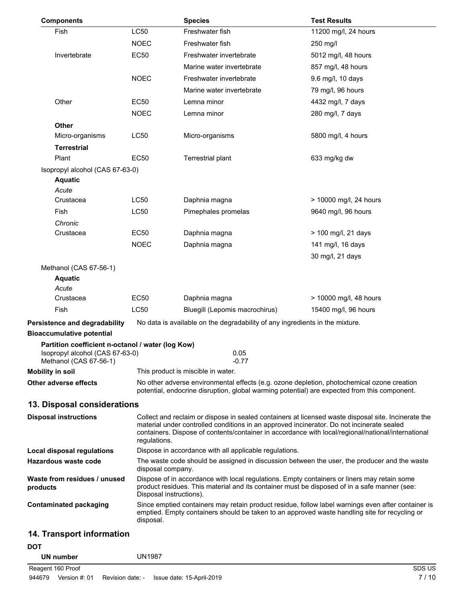| <b>Components</b>                                         |                         | <b>Species</b>                                                                                                                                                                              | <b>Test Results</b>                                                                                                                                                                                       |
|-----------------------------------------------------------|-------------------------|---------------------------------------------------------------------------------------------------------------------------------------------------------------------------------------------|-----------------------------------------------------------------------------------------------------------------------------------------------------------------------------------------------------------|
| Fish                                                      | LC50                    | Freshwater fish                                                                                                                                                                             | 11200 mg/l, 24 hours                                                                                                                                                                                      |
|                                                           | <b>NOEC</b>             | Freshwater fish                                                                                                                                                                             | 250 mg/l                                                                                                                                                                                                  |
| Invertebrate                                              | <b>EC50</b>             | Freshwater invertebrate                                                                                                                                                                     | 5012 mg/l, 48 hours                                                                                                                                                                                       |
|                                                           |                         | Marine water invertebrate                                                                                                                                                                   | 857 mg/l, 48 hours                                                                                                                                                                                        |
|                                                           | <b>NOEC</b>             | Freshwater invertebrate                                                                                                                                                                     | 9.6 mg/l, 10 days                                                                                                                                                                                         |
|                                                           |                         | Marine water invertebrate                                                                                                                                                                   | 79 mg/l, 96 hours                                                                                                                                                                                         |
| Other                                                     | EC50                    | Lemna minor                                                                                                                                                                                 | 4432 mg/l, 7 days                                                                                                                                                                                         |
|                                                           | <b>NOEC</b>             | Lemna minor                                                                                                                                                                                 | 280 mg/l, 7 days                                                                                                                                                                                          |
| Other                                                     |                         |                                                                                                                                                                                             |                                                                                                                                                                                                           |
| Micro-organisms                                           | LC50                    | Micro-organisms                                                                                                                                                                             | 5800 mg/l, 4 hours                                                                                                                                                                                        |
| <b>Terrestrial</b>                                        |                         |                                                                                                                                                                                             |                                                                                                                                                                                                           |
| Plant                                                     | EC50                    | Terrestrial plant                                                                                                                                                                           | 633 mg/kg dw                                                                                                                                                                                              |
| Isopropyl alcohol (CAS 67-63-0)                           |                         |                                                                                                                                                                                             |                                                                                                                                                                                                           |
| <b>Aquatic</b>                                            |                         |                                                                                                                                                                                             |                                                                                                                                                                                                           |
| Acute                                                     |                         |                                                                                                                                                                                             |                                                                                                                                                                                                           |
| Crustacea                                                 | <b>LC50</b>             | Daphnia magna                                                                                                                                                                               | > 10000 mg/l, 24 hours                                                                                                                                                                                    |
| Fish                                                      | LC50                    | Pimephales promelas                                                                                                                                                                         | 9640 mg/l, 96 hours                                                                                                                                                                                       |
| Chronic                                                   |                         |                                                                                                                                                                                             |                                                                                                                                                                                                           |
| Crustacea                                                 | <b>EC50</b>             | Daphnia magna                                                                                                                                                                               | > 100 mg/l, 21 days                                                                                                                                                                                       |
|                                                           | <b>NOEC</b>             | Daphnia magna                                                                                                                                                                               | 141 mg/l, 16 days                                                                                                                                                                                         |
|                                                           |                         |                                                                                                                                                                                             | 30 mg/l, 21 days                                                                                                                                                                                          |
| Methanol (CAS 67-56-1)                                    |                         |                                                                                                                                                                                             |                                                                                                                                                                                                           |
| <b>Aquatic</b><br>Acute                                   |                         |                                                                                                                                                                                             |                                                                                                                                                                                                           |
| Crustacea                                                 | EC50                    | Daphnia magna                                                                                                                                                                               | > 10000 mg/l, 48 hours                                                                                                                                                                                    |
| Fish                                                      | <b>LC50</b>             | Bluegill (Lepomis macrochirus)                                                                                                                                                              | 15400 mg/l, 96 hours                                                                                                                                                                                      |
| Persistence and degradability                             |                         | No data is available on the degradability of any ingredients in the mixture.                                                                                                                |                                                                                                                                                                                                           |
| <b>Bioaccumulative potential</b>                          |                         |                                                                                                                                                                                             |                                                                                                                                                                                                           |
| Partition coefficient n-octanol / water (log Kow)         |                         |                                                                                                                                                                                             |                                                                                                                                                                                                           |
| Isopropyl alcohol (CAS 67-63-0)<br>Methanol (CAS 67-56-1) |                         | 0.05<br>$-0.77$                                                                                                                                                                             |                                                                                                                                                                                                           |
| <b>Mobility in soil</b>                                   |                         | This product is miscible in water.                                                                                                                                                          |                                                                                                                                                                                                           |
| Other adverse effects                                     |                         | No other adverse environmental effects (e.g. ozone depletion, photochemical ozone creation<br>potential, endocrine disruption, global warming potential) are expected from this component.  |                                                                                                                                                                                                           |
| 13. Disposal considerations                               |                         |                                                                                                                                                                                             |                                                                                                                                                                                                           |
| <b>Disposal instructions</b>                              | regulations.            | material under controlled conditions in an approved incinerator. Do not incinerate sealed                                                                                                   | Collect and reclaim or dispose in sealed containers at licensed waste disposal site. Incinerate the<br>containers. Dispose of contents/container in accordance with local/regional/national/international |
| Local disposal regulations                                |                         | Dispose in accordance with all applicable regulations.                                                                                                                                      |                                                                                                                                                                                                           |
| Hazardous waste code                                      | disposal company.       | The waste code should be assigned in discussion between the user, the producer and the waste                                                                                                |                                                                                                                                                                                                           |
| Waste from residues / unused<br>products                  | Disposal instructions). | Dispose of in accordance with local regulations. Empty containers or liners may retain some<br>product residues. This material and its container must be disposed of in a safe manner (see: |                                                                                                                                                                                                           |
| <b>Contaminated packaging</b>                             | disposal.               | emptied. Empty containers should be taken to an approved waste handling site for recycling or                                                                                               | Since emptied containers may retain product residue, follow label warnings even after container is                                                                                                        |
| 14. Transport information                                 |                         |                                                                                                                                                                                             |                                                                                                                                                                                                           |
| <b>DOT</b>                                                |                         |                                                                                                                                                                                             |                                                                                                                                                                                                           |

**UN number** UN1987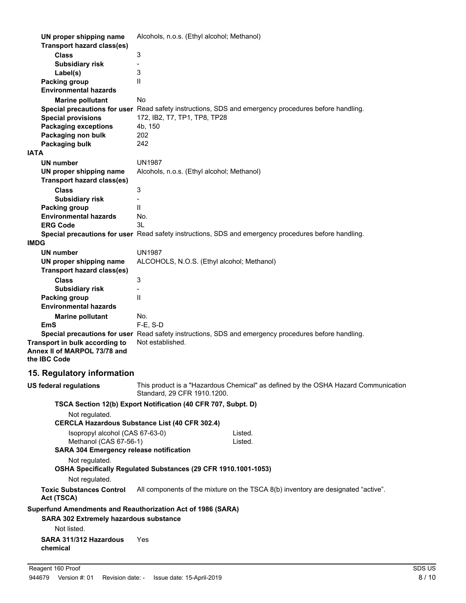| UN proper shipping name<br><b>Transport hazard class(es)</b>                   | Alcohols, n.o.s. (Ethyl alcohol; Methanol)                                                                        |
|--------------------------------------------------------------------------------|-------------------------------------------------------------------------------------------------------------------|
| <b>Class</b>                                                                   | 3                                                                                                                 |
| <b>Subsidiary risk</b>                                                         |                                                                                                                   |
| Label(s)                                                                       | 3                                                                                                                 |
| <b>Packing group</b>                                                           | Ш                                                                                                                 |
| <b>Environmental hazards</b>                                                   |                                                                                                                   |
| <b>Marine pollutant</b>                                                        | <b>No</b>                                                                                                         |
|                                                                                | Special precautions for user Read safety instructions, SDS and emergency procedures before handling.              |
| <b>Special provisions</b>                                                      | 172, IB2, T7, TP1, TP8, TP28                                                                                      |
| <b>Packaging exceptions</b>                                                    | 4b, 150                                                                                                           |
| Packaging non bulk                                                             | 202<br>242                                                                                                        |
| Packaging bulk<br>IATA                                                         |                                                                                                                   |
|                                                                                |                                                                                                                   |
| <b>UN number</b>                                                               | <b>UN1987</b>                                                                                                     |
| UN proper shipping name<br><b>Transport hazard class(es)</b>                   | Alcohols, n.o.s. (Ethyl alcohol; Methanol)                                                                        |
| <b>Class</b>                                                                   | 3                                                                                                                 |
| <b>Subsidiary risk</b>                                                         |                                                                                                                   |
| <b>Packing group</b><br><b>Environmental hazards</b>                           | $\mathbf{I}$<br>No.                                                                                               |
| <b>ERG Code</b>                                                                | 3L                                                                                                                |
|                                                                                | Special precautions for user Read safety instructions, SDS and emergency procedures before handling.              |
| <b>IMDG</b>                                                                    |                                                                                                                   |
| <b>UN number</b>                                                               | <b>UN1987</b>                                                                                                     |
| UN proper shipping name                                                        | ALCOHOLS, N.O.S. (Ethyl alcohol; Methanol)                                                                        |
| Transport hazard class(es)                                                     |                                                                                                                   |
| <b>Class</b>                                                                   | 3                                                                                                                 |
| <b>Subsidiary risk</b>                                                         |                                                                                                                   |
| <b>Packing group</b><br><b>Environmental hazards</b>                           | $\mathsf{II}$                                                                                                     |
| <b>Marine pollutant</b>                                                        | No.                                                                                                               |
| <b>EmS</b>                                                                     | $F-E$ , S-D                                                                                                       |
|                                                                                | Special precautions for user Read safety instructions, SDS and emergency procedures before handling.              |
| Transport in bulk according to<br>Annex II of MARPOL 73/78 and<br>the IBC Code | Not established.                                                                                                  |
| 15. Regulatory information                                                     |                                                                                                                   |
| <b>US federal regulations</b>                                                  | This product is a "Hazardous Chemical" as defined by the OSHA Hazard Communication<br>Standard, 29 CFR 1910.1200. |
|                                                                                | TSCA Section 12(b) Export Notification (40 CFR 707, Subpt. D)                                                     |
| Not regulated.                                                                 | <b>CERCLA Hazardous Substance List (40 CFR 302.4)</b>                                                             |
| Isopropyl alcohol (CAS 67-63-0)<br>Methanol (CAS 67-56-1)                      | Listed.<br>Listed.                                                                                                |
| <b>SARA 304 Emergency release notification</b>                                 |                                                                                                                   |
| Not regulated.                                                                 |                                                                                                                   |
|                                                                                | OSHA Specifically Regulated Substances (29 CFR 1910.1001-1053)                                                    |
| Not regulated.                                                                 |                                                                                                                   |
| <b>Toxic Substances Control</b><br>Act (TSCA)                                  | All components of the mixture on the TSCA 8(b) inventory are designated "active".                                 |
| Superfund Amendments and Reauthorization Act of 1986 (SARA)                    |                                                                                                                   |
| <b>SARA 302 Extremely hazardous substance</b>                                  |                                                                                                                   |
| Not listed.                                                                    |                                                                                                                   |
| SARA 311/312 Hazardous                                                         | Yes                                                                                                               |
| chemical                                                                       |                                                                                                                   |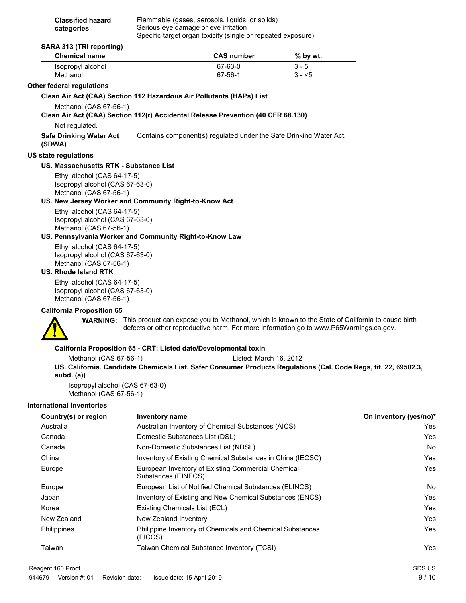| <b>Classified hazard</b> | Flammable (gases, aerosols, liquids, or solids)              |
|--------------------------|--------------------------------------------------------------|
| categories               | Serious eye damage or eye irritation                         |
|                          | Specific target organ toxicity (single or repeated exposure) |

#### **SARA 313 (TRI reporting)**

| <b>Chemical name</b> | <b>CAS</b> number | % by wt. |  |
|----------------------|-------------------|----------|--|
| Isopropyl alcohol    | 67-63-0           | $3 - 5$  |  |
| Methanol             | 67-56-1           | $3 - 5$  |  |

## **Other federal regulations**

### **Clean Air Act (CAA) Section 112 Hazardous Air Pollutants (HAPs) List**

Methanol (CAS 67-56-1)

## **Clean Air Act (CAA) Section 112(r) Accidental Release Prevention (40 CFR 68.130)** Not regulated.

**Safe Drinking Water Act** Contains component(s) regulated under the Safe Drinking Water Act. **(SDWA)**

#### **US state regulations**

#### **US. Massachusetts RTK - Substance List**

Ethyl alcohol (CAS 64-17-5) Isopropyl alcohol (CAS 67-63-0) Methanol (CAS 67-56-1)

#### **US. New Jersey Worker and Community Right-to-Know Act**

Ethyl alcohol (CAS 64-17-5) Isopropyl alcohol (CAS 67-63-0) Methanol (CAS 67-56-1)

#### **US. Pennsylvania Worker and Community Right-to-Know Law**

Ethyl alcohol (CAS 64-17-5) Isopropyl alcohol (CAS 67-63-0) Methanol (CAS 67-56-1)

# **US. Rhode Island RTK**

Ethyl alcohol (CAS 64-17-5) Isopropyl alcohol (CAS 67-63-0) Methanol (CAS 67-56-1)

### **California Proposition 65**



WARNING: This product can expose you to Methanol, which is known to the State of California to cause birth defects or other reproductive harm. For more information go to www.P65Warnings.ca.gov.

#### **California Proposition 65 - CRT: Listed date/Developmental toxin**

Methanol (CAS 67-56-1) Listed: March 16, 2012

**US. California. Candidate Chemicals List. Safer Consumer Products Regulations (Cal. Code Regs, tit. 22, 69502.3, subd. (a))**

Isopropyl alcohol (CAS 67-63-0) Methanol (CAS 67-56-1)

# **International Inventories**

| Country(s) or region | Inventory name                                                            | On inventory (yes/no)* |
|----------------------|---------------------------------------------------------------------------|------------------------|
| Australia            | Australian Inventory of Chemical Substances (AICS)                        | Yes                    |
| Canada               | Domestic Substances List (DSL)                                            | Yes                    |
| Canada               | Non-Domestic Substances List (NDSL)                                       | No                     |
| China                | Inventory of Existing Chemical Substances in China (IECSC)                | Yes                    |
| Europe               | European Inventory of Existing Commercial Chemical<br>Substances (EINECS) | Yes                    |
| Europe               | European List of Notified Chemical Substances (ELINCS)                    | No                     |
| Japan                | Inventory of Existing and New Chemical Substances (ENCS)                  | Yes                    |
| Korea                | Existing Chemicals List (ECL)                                             | Yes                    |
| New Zealand          | New Zealand Inventory                                                     | Yes                    |
| Philippines          | Philippine Inventory of Chemicals and Chemical Substances<br>(PICCS)      | Yes                    |
| Taiwan               | Taiwan Chemical Substance Inventory (TCSI)                                | Yes                    |